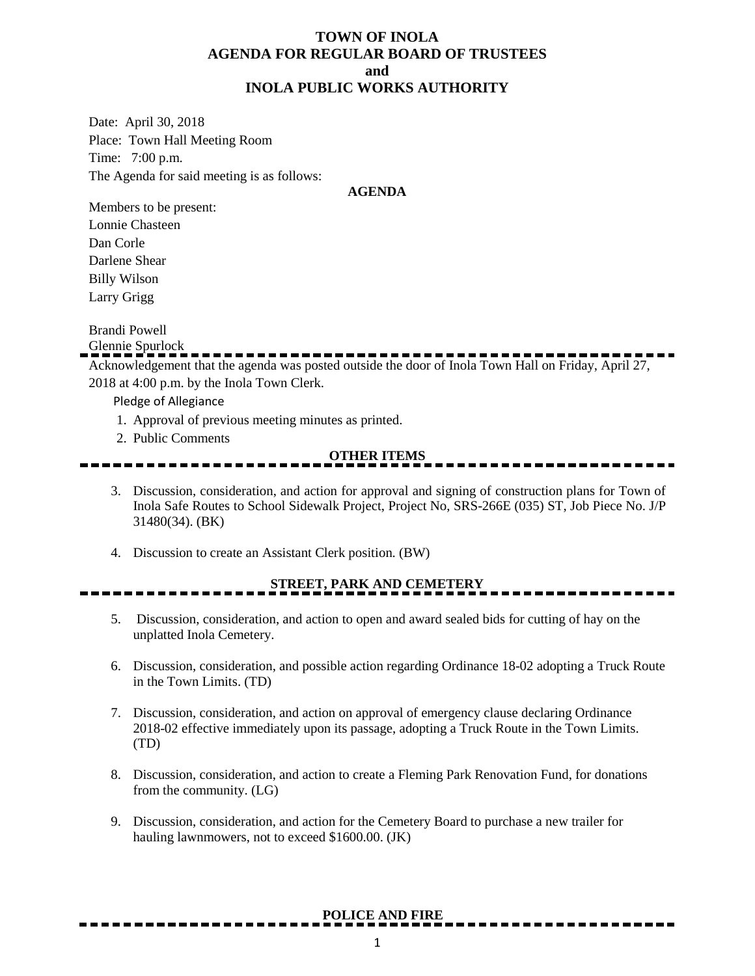### **TOWN OF INOLA AGENDA FOR REGULAR BOARD OF TRUSTEES and INOLA PUBLIC WORKS AUTHORITY**

Date: April 30, 2018 Place: Town Hall Meeting Room Time: 7:00 p.m. The Agenda for said meeting is as follows:

#### **AGENDA**

Members to be present: Lonnie Chasteen Dan Corle Darlene Shear Billy Wilson Larry Grigg

Brandi Powell

Glennie Spurlock

Acknowledgement that the agenda was posted outside the door of Inola Town Hall on Friday, April 27, 2018 at 4:00 p.m. by the Inola Town Clerk.

Pledge of Allegiance

- 1. Approval of previous meeting minutes as printed.
- 2. Public Comments

#### **OTHER ITEMS**

- 3. Discussion, consideration, and action for approval and signing of construction plans for Town of Inola Safe Routes to School Sidewalk Project, Project No, SRS-266E (035) ST, Job Piece No. J/P 31480(34). (BK)
- 4. Discussion to create an Assistant Clerk position. (BW)

## **STREET, PARK AND CEMETERY**

- 5. Discussion, consideration, and action to open and award sealed bids for cutting of hay on the unplatted Inola Cemetery.
- 6. Discussion, consideration, and possible action regarding Ordinance 18-02 adopting a Truck Route in the Town Limits. (TD)
- 7. Discussion, consideration, and action on approval of emergency clause declaring Ordinance 2018-02 effective immediately upon its passage, adopting a Truck Route in the Town Limits. (TD)
- 8. Discussion, consideration, and action to create a Fleming Park Renovation Fund, for donations from the community. (LG)
- 9. Discussion, consideration, and action for the Cemetery Board to purchase a new trailer for hauling lawnmowers, not to exceed \$1600.00. (JK)

#### **POLICE AND FIRE**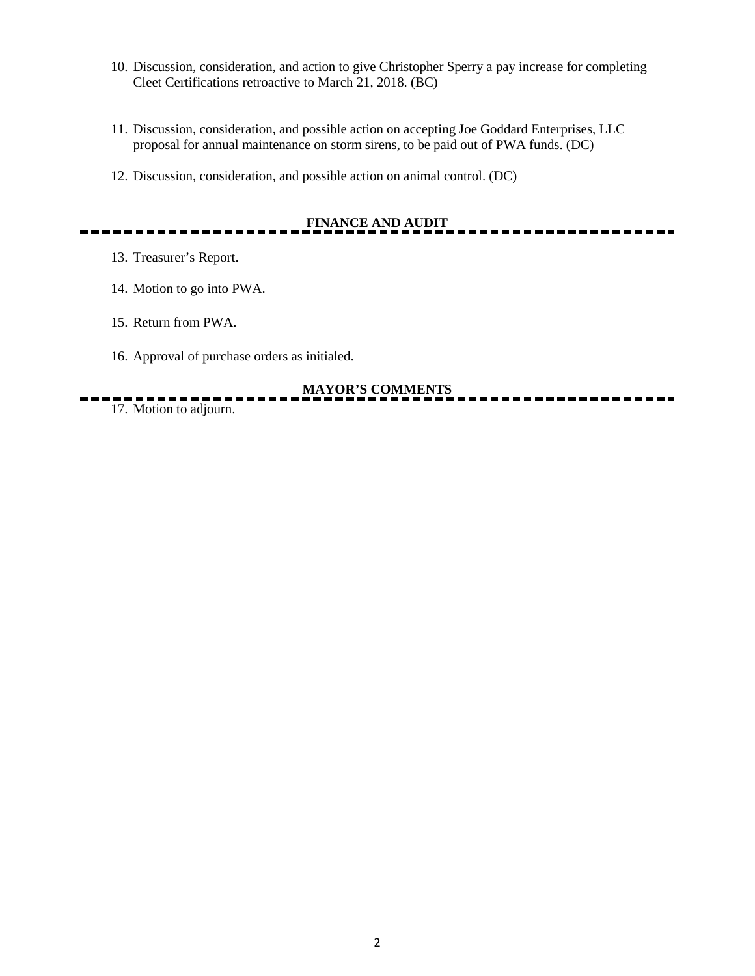- 10. Discussion, consideration, and action to give Christopher Sperry a pay increase for completing Cleet Certifications retroactive to March 21, 2018. (BC)
- 11. Discussion, consideration, and possible action on accepting Joe Goddard Enterprises, LLC proposal for annual maintenance on storm sirens, to be paid out of PWA funds. (DC)
- 12. Discussion, consideration, and possible action on animal control. (DC)

# **FINANCE AND AUDIT**

- 13. Treasurer's Report.
- 14. Motion to go into PWA.
- 15. Return from PWA.
- 16. Approval of purchase orders as initialed.

## **MAYOR'S COMMENTS**

17. Motion to adjourn.